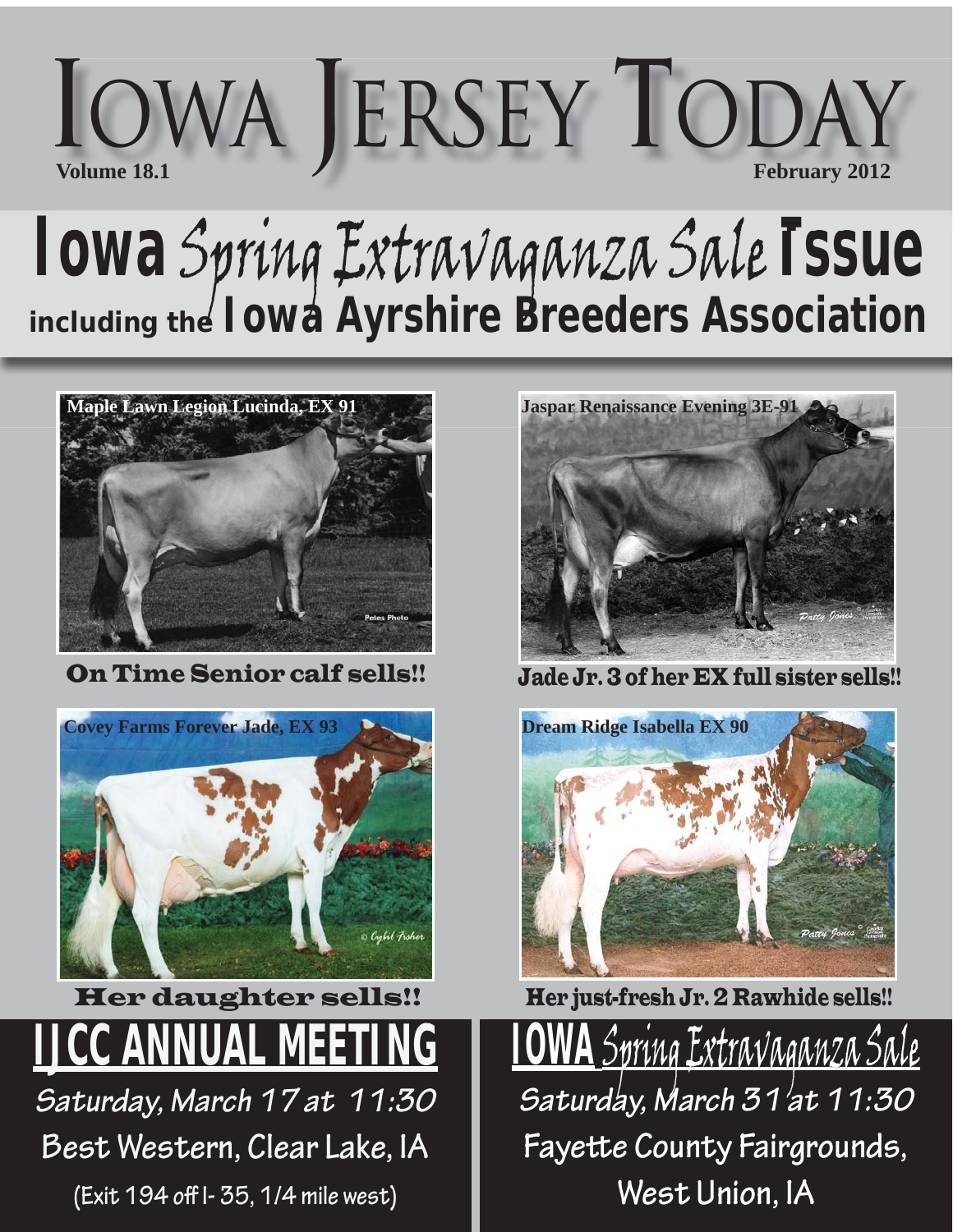

## **Iowa** Spring Extravaganza Sale **Issue** *including the Iowa Ayrshire Breeders Association*



On Time Senior calf sells!!



**JCC ANNUAL MEET** *Saturday, March 17 at 11:30*  Her daughter sells!!

**Best Western, Clear Lake, IA** 

**(Exit 194 off I- 35, 1/4 mile west)**



Jade Jr. 3 of her EX full sister sells!!



Her just-fresh Jr. 2 Rawhide sells!!

<u>IOWA</u> Spring Extravaganza Sale *Saturday, March 31 at 11:30* **Fayette County Fairgrounds, West Union, IA**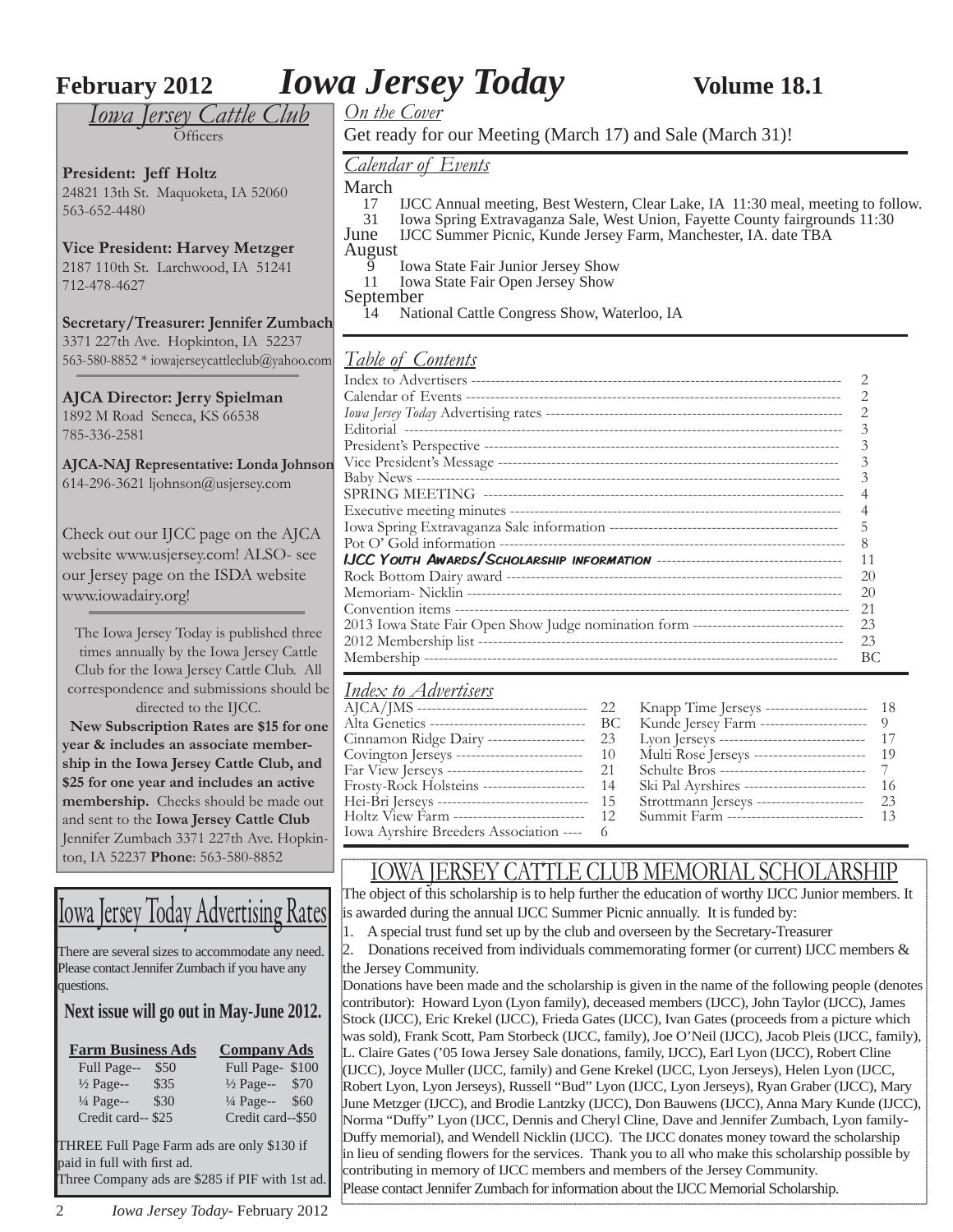**February 2012** *Iowa Jersey Today* **Volume 18.1** 

*Iowa Jersey Cattle Club*  $\tilde{\Omega}$ fficers

**President: Jeff Holtz** 24821 13th St. Maquoketa, IA 52060 563-652-4480

**Vice President: Harvey Metzger** 2187 110th St. Larchwood, IA 51241 712-478-4627

**Secretary/Treasurer: Jennifer Zumbach** 3371 227th Ave. Hopkinton, IA 52237 563-580-8852 \* iowajerseycattleclub@yahoo.com

**AJCA Director: Jerry Spielman** 1892 M Road Seneca, KS 66538 785-336-2581

**AJCA-NAJ Representative: Londa Johnson** 614-296-3621 ljohnson@usjersey.com

Check out our IJCC page on the AJCA website www.usjersey.com! ALSO- see our Jersey page on the ISDA website www.iowadairy.org!

The Iowa Jersey Today is published three times annually by the Iowa Jersey Cattle Club for the Iowa Jersey Cattle Club. All correspondence and submissions should be directed to the IJCC.

 **New Subscription Rates are \$15 for one year & includes an associate membership in the Iowa Jersey Cattle Club, and \$25 for one year and includes an active membership.** Checks should be made out and sent to the **Iowa Jersey Cattle Club** Jennifer Zumbach 3371 227th Ave. Hopkinton, IA 52237 **Phone**: 563-580-8852

## Iowa Jersey Today Advertising Rates

There are several sizes to accommodate any need. Please contact Jennifer Zumbach if you have any questions.

#### **Next issue will go out in May-June 2012.**

| <b>Farm Business Ads</b>     | <b>Company Ads</b>           |  |  |  |  |
|------------------------------|------------------------------|--|--|--|--|
| Full Page--<br>\$50          | Full Page-\$100              |  |  |  |  |
| $\frac{1}{2}$ Page--<br>\$35 | \$70<br>$\frac{1}{2}$ Page-- |  |  |  |  |
| $\frac{1}{4}$ Page--<br>\$30 | 1/4 Page-- \$60              |  |  |  |  |
| Credit card--\$25            | Credit card--\$50            |  |  |  |  |
|                              |                              |  |  |  |  |

THREE Full Page Farm ads are only \$130 if paid in full with first ad. Three Company ads are \$285 if PIF with 1st ad.

*On the Cover*

Get ready for our Meeting (March 17) and Sale (March 31)!

#### *Calendar of Events*

March<br> $\frac{17}{17}$ 

- 17 IJCC Annual meeting, Best Western, Clear Lake, IA 11:30 meal, meeting to follow.<br>
11 Iowa Spring Extravaganza Sale, West Union, Fayette County fairgrounds 11:30
- 31 Iowa Spring Extravaganza Sale, West Union, Fayette County fairgrounds 11:30
- June IJCC Summer Picnic, Kunde Jersey Farm, Manchester, IA. date TBA August
	- 9 Iowa State Fair Junior Jersey Show<br>11 Iowa State Fair Open Jersey Show
	- Iowa State Fair Open Jersey Show

September

14 National Cattle Congress Show, Waterloo, IA

#### *Table of Contents*

|                                                                                    | 2  |
|------------------------------------------------------------------------------------|----|
|                                                                                    | 2  |
|                                                                                    | 2  |
|                                                                                    | 3  |
|                                                                                    | 3  |
|                                                                                    | 3  |
|                                                                                    | 3  |
|                                                                                    |    |
|                                                                                    |    |
|                                                                                    | 5  |
|                                                                                    | 8  |
|                                                                                    | 11 |
|                                                                                    | 20 |
|                                                                                    | 20 |
|                                                                                    | 21 |
| 2013 Iowa State Fair Open Show Judge nomination form ----------------------------- | 23 |
|                                                                                    | 23 |
|                                                                                    | BС |
|                                                                                    |    |

### *Index to Advertisers*

|                                                      | Knapp Time Jerseys ---------------------- 18   |      |
|------------------------------------------------------|------------------------------------------------|------|
| Alta Genetics ----------------------------------- BC | Kunde Jersey Farm ---------------------- 9     |      |
| Cinnamon Ridge Dairy --------------------- 23        | Lyon Jerseys --------------------------------- | - 17 |
| Covington Jerseys ------------------------------- 10 | Multi Rose Jerseys -------------------------   | - 19 |
| Far View Jerseys ------------------------------ 21   |                                                |      |
| Frosty-Rock Holsteins ---------------------- 14      | Ski Pal Ayrshires --------------------------   | - 16 |
| Hei-Bri Jerseys -------------------------------- 15  | Strottmann Jerseys -----------------------     | 23   |
| Holtz View Farm ---------------------------- 12      | Summit Farm ----------------------------       | - 13 |
| Iowa Ayrshire Breeders Association ---- 6            |                                                |      |
|                                                      |                                                |      |

#### IOWA JERSEY CATTLE CLUB MEMORIAL SCHOLARSHIP

The object of this scholarship is to help further the education of worthy IJCC Junior members. It is awarded during the annual IJCC Summer Picnic annually. It is funded by:

1. A special trust fund set up by the club and overseen by the Secretary-Treasurer

2. Donations received from individuals commemorating former (or current) IJCC members  $\&$ the Jersey Community.

Donations have been made and the scholarship is given in the name of the following people (denotes contributor): Howard Lyon (Lyon family), deceased members (IJCC), John Taylor (IJCC), James Stock (IJCC), Eric Krekel (IJCC), Frieda Gates (IJCC), Ivan Gates (proceeds from a picture which was sold), Frank Scott, Pam Storbeck (IJCC, family), Joe O'Neil (IJCC), Jacob Pleis (IJCC, family), L. Claire Gates ('05 Iowa Jersey Sale donations, family, IJCC), Earl Lyon (IJCC), Robert Cline (IJCC), Joyce Muller (IJCC, family) and Gene Krekel (IJCC, Lyon Jerseys), Helen Lyon (IJCC, Robert Lyon, Lyon Jerseys), Russell "Bud" Lyon (IJCC, Lyon Jerseys), Ryan Graber (IJCC), Mary June Metzger (IJCC), and Brodie Lantzky (IJCC), Don Bauwens (IJCC), Anna Mary Kunde (IJCC), Norma "Duffy" Lyon (IJCC, Dennis and Cheryl Cline, Dave and Jennifer Zumbach, Lyon family-Duffy memorial), and Wendell Nicklin (IJCC). The IJCC donates money toward the scholarship in lieu of sending flowers for the services. Thank you to all who make this scholarship possible by contributing in memory of IJCC members and members of the Jersey Community. Please contact Jennifer Zumbach for information about the IJCC Memorial Scholarship.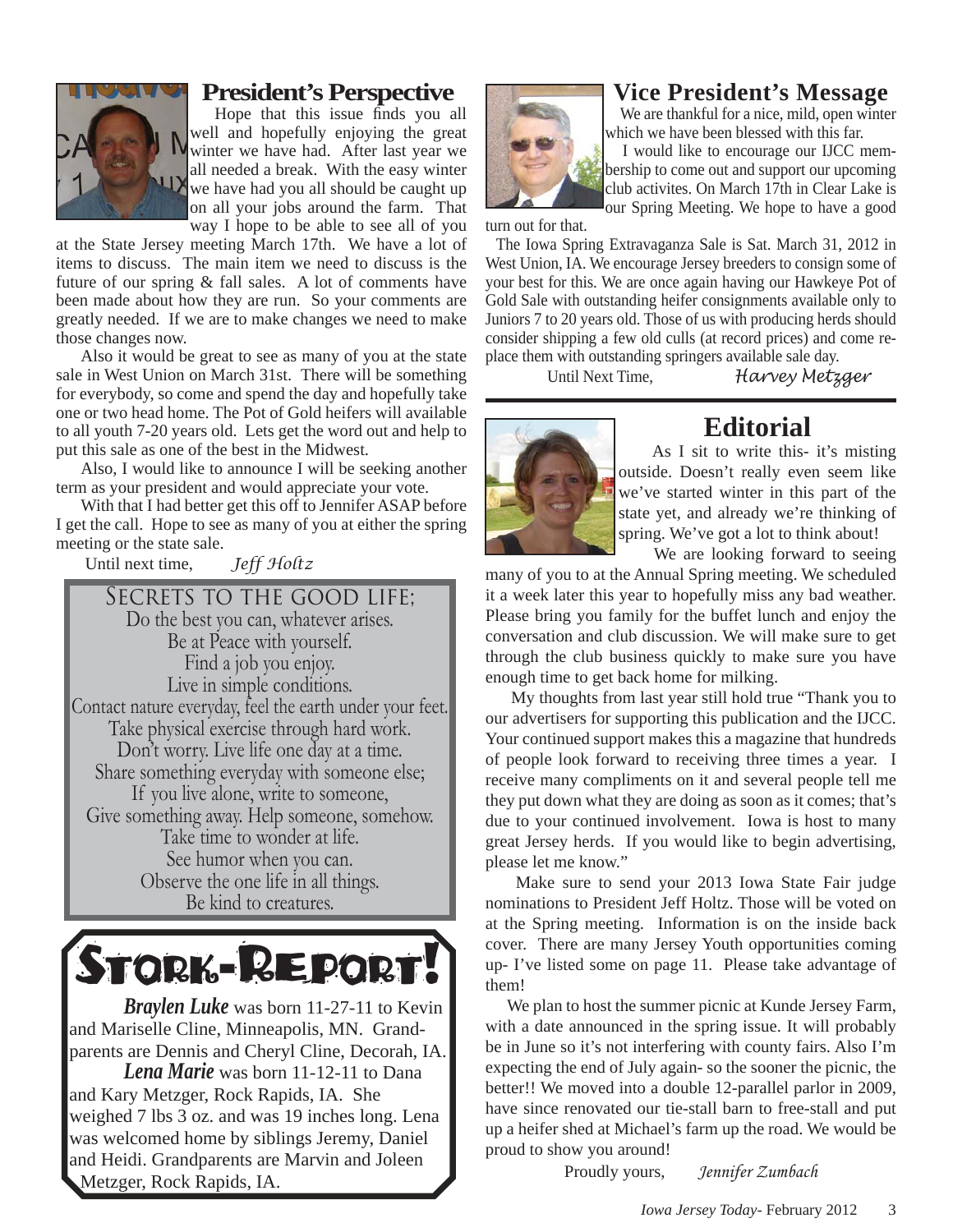

#### **President's Perspective**

Hope that this issue finds you all well and hopefully enjoying the great Wwinter we have had. After last year we all needed a break. With the easy winter we have had you all should be caught up on all your jobs around the farm. That way I hope to be able to see all of you

at the State Jersey meeting March 17th. We have a lot of items to discuss. The main item we need to discuss is the future of our spring & fall sales. A lot of comments have been made about how they are run. So your comments are greatly needed. If we are to make changes we need to make those changes now.

Also it would be great to see as many of you at the state sale in West Union on March 31st. There will be something for everybody, so come and spend the day and hopefully take one or two head home. The Pot of Gold heifers will available to all youth 7-20 years old. Lets get the word out and help to put this sale as one of the best in the Midwest.

Also, I would like to announce I will be seeking another term as your president and would appreciate your vote.

With that I had better get this off to Jennifer ASAP before I get the call. Hope to see as many of you at either the spring meeting or the state sale.

Until next time, *Jeff Holtz*

SECRETS TO THE GOOD LIFE: Do the best you can, whatever arises. Be at Peace with yourself. Find a job you enjoy. Live in simple conditions. Contact nature everyday, feel the earth under your feet. Take physical exercise through hard work. Don't worry. Live life one day at a time. Share something everyday with someone else; If you live alone, write to someone, Give something away. Help someone, somehow. Take time to wonder at life. See humor when you can. Observe the one life in all things. Be kind to creatures.



 *Braylen Luke* was born 11-27-11 to Kevin and Mariselle Cline, Minneapolis, MN. Grandparents are Dennis and Cheryl Cline, Decorah, IA. *Lena Marie* was born 11-12-11 to Dana and Kary Metzger, Rock Rapids, IA. She weighed 7 lbs 3 oz. and was 19 inches long. Lena was welcomed home by siblings Jeremy, Daniel and Heidi. Grandparents are Marvin and Joleen

Metzger, Rock Rapids, IA.

#### **Vice President's Message**

We are thankful for a nice, mild, open winter which we have been blessed with this far.

 I would like to encourage our IJCC membership to come out and support our upcoming club activites. On March 17th in Clear Lake is our Spring Meeting. We hope to have a good

turn out for that.

 The Iowa Spring Extravaganza Sale is Sat. March 31, 2012 in West Union, IA. We encourage Jersey breeders to consign some of your best for this. We are once again having our Hawkeye Pot of Gold Sale with outstanding heifer consignments available only to Juniors 7 to 20 years old. Those of us with producing herds should consider shipping a few old culls (at record prices) and come replace them with outstanding springers available sale day.

Until Next Time, *Harvey Metzger*



#### **Editorial**

 As I sit to write this- it's misting outside. Doesn't really even seem like we've started winter in this part of the state yet, and already we're thinking of spring. We've got a lot to think about!

We are looking forward to seeing

many of you to at the Annual Spring meeting. We scheduled it a week later this year to hopefully miss any bad weather. Please bring you family for the buffet lunch and enjoy the conversation and club discussion. We will make sure to get through the club business quickly to make sure you have enough time to get back home for milking.

 My thoughts from last year still hold true "Thank you to our advertisers for supporting this publication and the IJCC. Your continued support makes this a magazine that hundreds of people look forward to receiving three times a year. I receive many compliments on it and several people tell me they put down what they are doing as soon as it comes; that's due to your continued involvement. Iowa is host to many great Jersey herds. If you would like to begin advertising, please let me know."

 Make sure to send your 2013 Iowa State Fair judge nominations to President Jeff Holtz. Those will be voted on at the Spring meeting. Information is on the inside back cover. There are many Jersey Youth opportunities coming up- I've listed some on page 11. Please take advantage of them!

 We plan to host the summer picnic at Kunde Jersey Farm, with a date announced in the spring issue. It will probably be in June so it's not interfering with county fairs. Also I'm expecting the end of July again- so the sooner the picnic, the better!! We moved into a double 12-parallel parlor in 2009, have since renovated our tie-stall barn to free-stall and put up a heifer shed at Michael's farm up the road. We would be proud to show you around!

Proudly yours, *Jennifer Zumbach*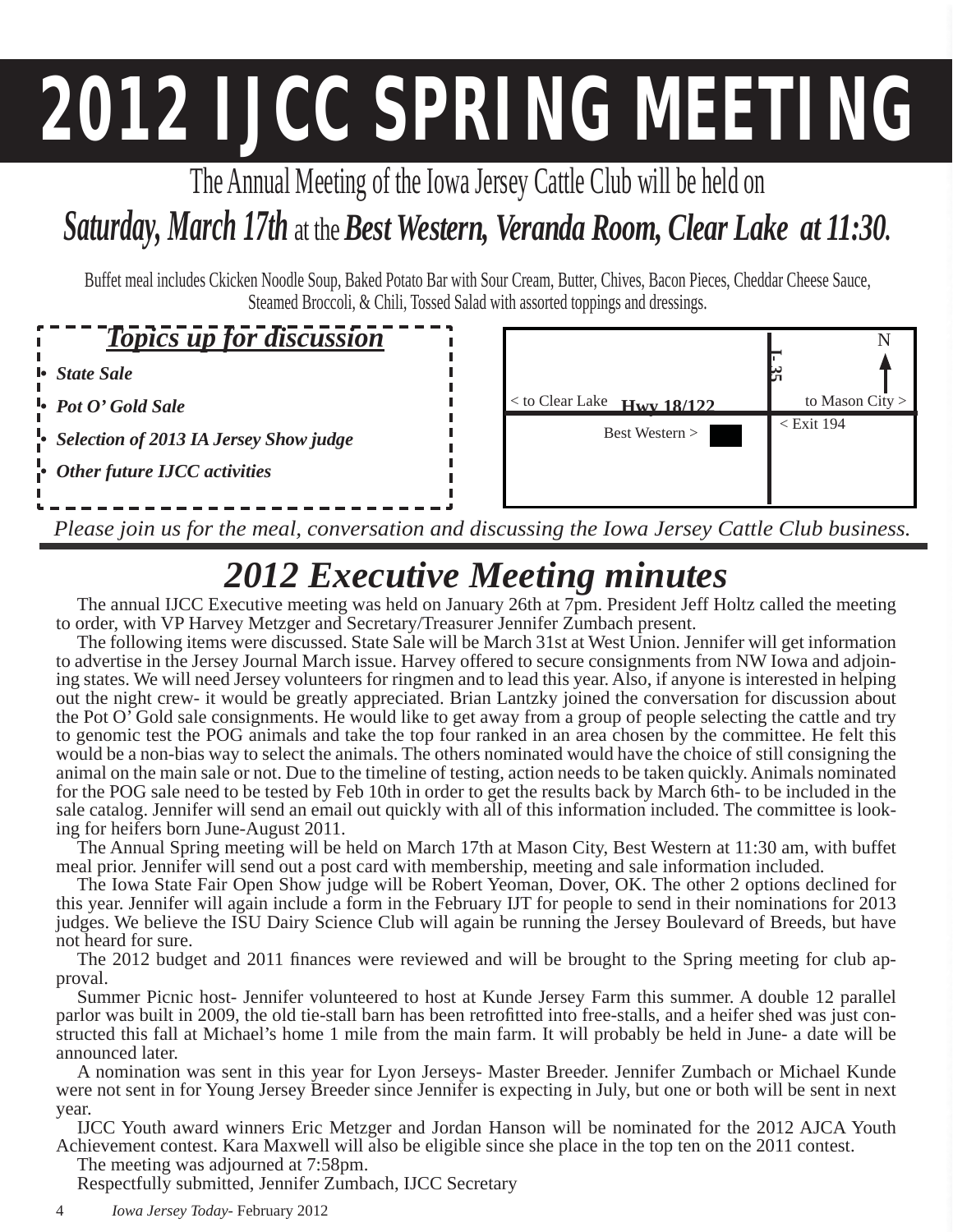# **2012 IJCC SPRING MEETING**

The Annual Meeting of the Iowa Jersey Cattle Club will be held on

## *Saturday, March 17th* at the *Best Western, Veranda Room, Clear Lake at 11:30.*

Buffet meal includes Ckicken Noodle Soup, Baked Potato Bar with Sour Cream, Butter, Chives, Bacon Pieces, Cheddar Cheese Sauce, Steamed Broccoli, & Chili, Tossed Salad with assorted toppings and dressings.

#### *Topics up for discussion*

*• State Sale*

*• Pot O' Gold Sale*

*• Selection of 2013 IA Jersey Show judge*

*• Other future IJCC activities*



*Please join us for the meal, conversation and discussing the Iowa Jersey Cattle Club business.*

## *2012 Executive Meeting minutes*

The annual IJCC Executive meeting was held on January 26th at 7pm. President Jeff Holtz called the meeting to order, with VP Harvey Metzger and Secretary/Treasurer Jennifer Zumbach present.

The following items were discussed. State Sale will be March 31st at West Union. Jennifer will get information to advertise in the Jersey Journal March issue. Harvey offered to secure consignments from NW Iowa and adjoining states. We will need Jersey volunteers for ringmen and to lead this year. Also, if anyone is interested in helping out the night crew- it would be greatly appreciated. Brian Lantzky joined the conversation for discussion about the Pot O' Gold sale consignments. He would like to get away from a group of people selecting the cattle and try to genomic test the POG animals and take the top four ranked in an area chosen by the committee. He felt this would be a non-bias way to select the animals. The others nominated would have the choice of still consigning the animal on the main sale or not. Due to the timeline of testing, action needs to be taken quickly. Animals nominated for the POG sale need to be tested by Feb 10th in order to get the results back by March 6th- to be included in the sale catalog. Jennifer will send an email out quickly with all of this information included. The committee is looking for heifers born June-August 2011.

The Annual Spring meeting will be held on March 17th at Mason City, Best Western at 11:30 am, with buffet meal prior. Jennifer will send out a post card with membership, meeting and sale information included.

The Iowa State Fair Open Show judge will be Robert Yeoman, Dover, OK. The other 2 options declined for this year. Jennifer will again include a form in the February IJT for people to send in their nominations for 2013 judges. We believe the ISU Dairy Science Club will again be running the Jersey Boulevard of Breeds, but have not heard for sure.

The 2012 budget and 2011 finances were reviewed and will be brought to the Spring meeting for club approval.

Summer Picnic host- Jennifer volunteered to host at Kunde Jersey Farm this summer. A double 12 parallel parlor was built in 2009, the old tie-stall barn has been retrofitted into free-stalls, and a heifer shed was just constructed this fall at Michael's home 1 mile from the main farm. It will probably be held in June- a date will be announced later.

A nomination was sent in this year for Lyon Jerseys- Master Breeder. Jennifer Zumbach or Michael Kunde were not sent in for Young Jersey Breeder since Jennifer is expecting in July, but one or both will be sent in next year.

IJCC Youth award winners Eric Metzger and Jordan Hanson will be nominated for the 2012 AJCA Youth Achievement contest. Kara Maxwell will also be eligible since she place in the top ten on the 2011 contest.

The meeting was adjourned at 7:58pm. Respectfully submitted, Jennifer Zumbach, IJCC Secretary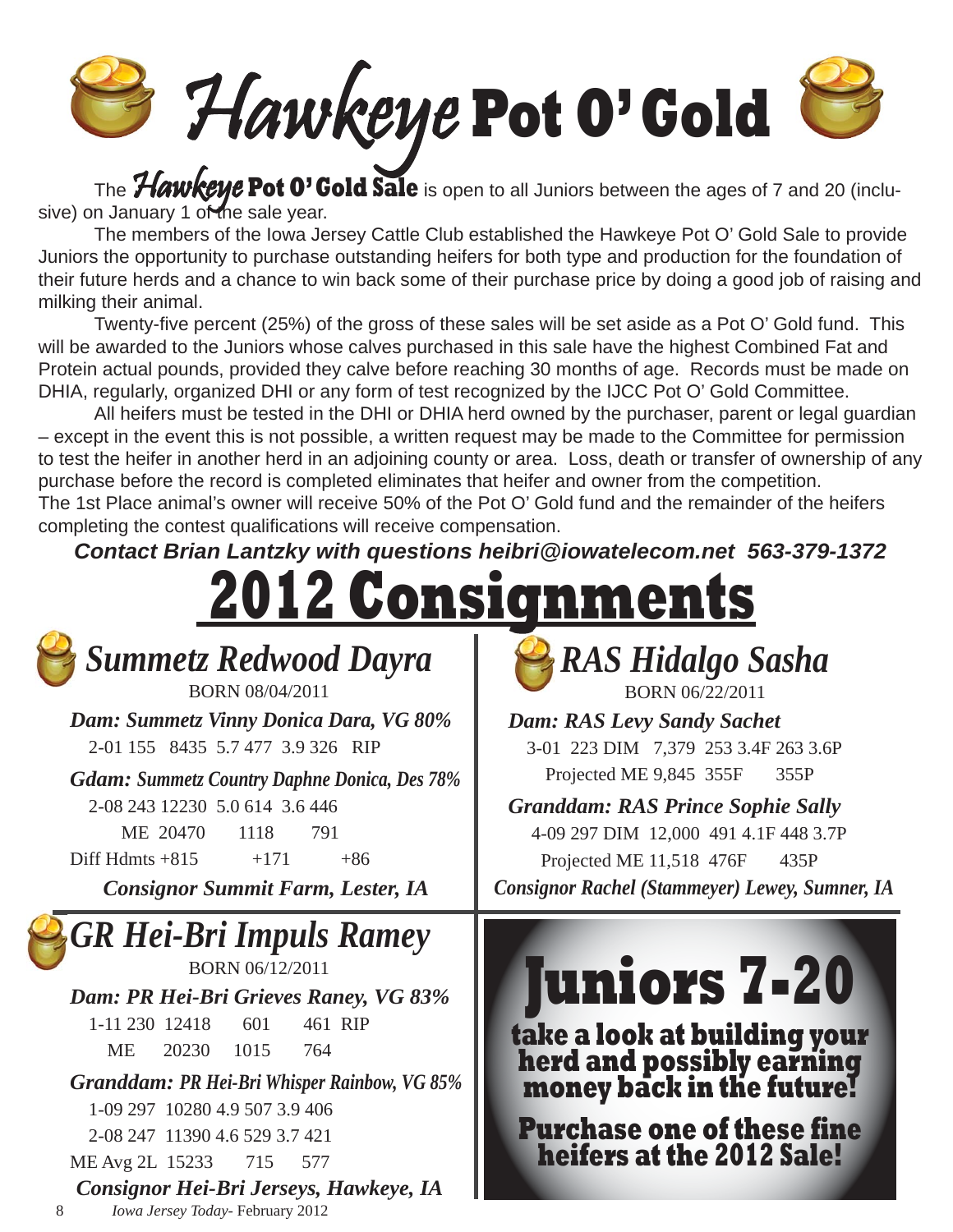Hawkeye **Pot O' Gold**

 The Hawkeye **Pot O' Gold Sale** is open to all Juniors between the ages of 7 and 20 (inclusive) on January 1 of the sale year.

 The members of the Iowa Jersey Cattle Club established the Hawkeye Pot O' Gold Sale to provide Juniors the opportunity to purchase outstanding heifers for both type and production for the foundation of their future herds and a chance to win back some of their purchase price by doing a good job of raising and milking their animal.

Twenty-five percent (25%) of the gross of these sales will be set aside as a Pot O' Gold fund. This will be awarded to the Juniors whose calves purchased in this sale have the highest Combined Fat and Protein actual pounds, provided they calve before reaching 30 months of age. Records must be made on DHIA, regularly, organized DHI or any form of test recognized by the IJCC Pot O' Gold Committee.

 All heifers must be tested in the DHI or DHIA herd owned by the purchaser, parent or legal guardian – except in the event this is not possible, a written request may be made to the Committee for permission to test the heifer in another herd in an adjoining county or area. Loss, death or transfer of ownership of any purchase before the record is completed eliminates that heifer and owner from the competition. The 1st Place animal's owner will receive 50% of the Pot O' Gold fund and the remainder of the heifers completing the contest qualifications will receive compensation.

*Contact Brian Lantzky with questions heibri@iowatelecom.net 563-379-1372* 

|                                                                                                                                                                                                                                                                                                                                                                           | <u> 2012 Consignments</u>                                                                                                                                                                                                                                                            |  |  |  |  |
|---------------------------------------------------------------------------------------------------------------------------------------------------------------------------------------------------------------------------------------------------------------------------------------------------------------------------------------------------------------------------|--------------------------------------------------------------------------------------------------------------------------------------------------------------------------------------------------------------------------------------------------------------------------------------|--|--|--|--|
| <b>Summetz Redwood Dayra</b><br>BORN 08/04/2011<br>Dam: Summetz Vinny Donica Dara, VG 80%<br>2-01 155 8435 5.7 477 3.9 326 RIP<br><b>Gdam: Summetz Country Daphne Donica, Des 78%</b><br>2-08 243 12230 5.0 614 3.6 446<br>ME 20470<br>1118<br>791<br>$Diff$ Hdmts +815<br>$+171$<br>$+86$                                                                                | <b>RAS Hidalgo Sasha</b><br>BORN 06/22/2011<br><b>Dam: RAS Levy Sandy Sachet</b><br>3-01 223 DIM 7,379 253 3.4F 263 3.6P<br>Projected ME 9,845 355F<br>355P<br><b>Granddam: RAS Prince Sophie Sally</b><br>4-09 297 DIM 12,000 491 4.1F 448 3.7P<br>Projected ME 11,518 476F<br>435P |  |  |  |  |
| <b>Consignor Summit Farm, Lester, IA</b>                                                                                                                                                                                                                                                                                                                                  | <b>Consignor Rachel (Stammeyer) Lewey, Sumner, IA</b>                                                                                                                                                                                                                                |  |  |  |  |
| <b>GR Hei-Bri Impuls Ramey</b><br>BORN 06/12/2011<br>Dam: PR Hei-Bri Grieves Raney, VG 83%<br>1-11 230 12418<br>601<br>461 RIP<br><b>ME</b><br>20230<br>1015<br>764<br><b>Granddam: PR Hei-Bri Whisper Rainbow, VG 85%</b><br>1-09 297 10280 4.9 507 3.9 406<br>2-08 247 11390 4.6 529 3.7 421<br>ME Avg 2L 15233<br>715<br>577<br>Consignor Hei-Bri Jerseys, Hawkeye, IA | <b>Juniors 7-20</b><br>take a look at building your<br>herd and possibly earning<br>money back in the future!<br><b>Purchase one of these fine</b><br>heifers at the 2012 Sale!                                                                                                      |  |  |  |  |

8 *Iowa Jersey Today*- February 2012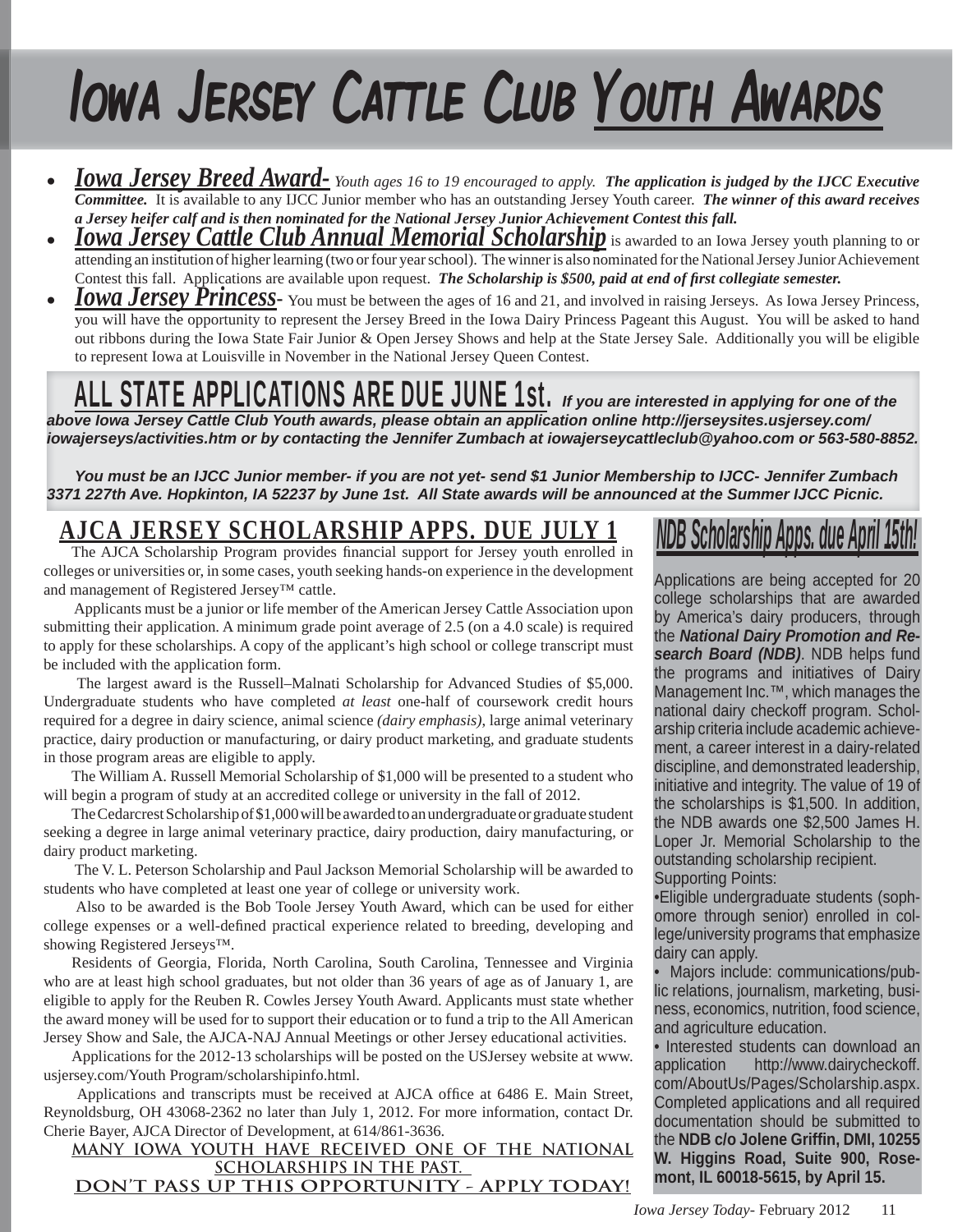# Iowa Jersey Cattle Club Youth Awards

- *Iowa Jersey Breed Award- Youth ages 16 to 19 encouraged to apply. The application is judged by the IJCC Executive Committee.* It is available to any IJCC Junior member who has an outstanding Jersey Youth career. *The winner of this award receives a Jersey heifer calf and is then nominated for the National Jersey Junior Achievement Contest this fall.*
- *Iowa Jersey Cattle Club Annual Memorial Scholarship* is awarded to an Iowa Jersey youth planning to or attending an institution of higher learning (two or four year school). The winner is also nominated for the National Jersey Junior Achievement Contest this fall. Applications are available upon request. *The Scholarship is \$500, paid at end of first collegiate semester.*
- **Iowa Jersey Princess** You must be between the ages of 16 and 21, and involved in raising Jerseys. As Iowa Jersey Princess, you will have the opportunity to represent the Jersey Breed in the Iowa Dairy Princess Pageant this August. You will be asked to hand out ribbons during the Iowa State Fair Junior & Open Jersey Shows and help at the State Jersey Sale. Additionally you will be eligible to represent Iowa at Louisville in November in the National Jersey Queen Contest.

## ALL STATE APPLICATIONS ARE DUE JUNE 1st. *If you are interested in applying for one of the*

*above Iowa Jersey Cattle Club Youth awards, please obtain an application online http://jerseysites.usjersey.com/ iowajerseys/activities.htm or by contacting the Jennifer Zumbach at iowajerseycattleclub@yahoo.com or 563-580-8852.* 

*You must be an IJCC Junior member- if you are not yet- send \$1 Junior Membership to IJCC- Jennifer Zumbach 3371 227th Ave. Hopkinton, IA 52237 by June 1st. All State awards will be announced at the Summer IJCC Picnic.*

### **AJCA JERSEY SCHOLARSHIP APPS. DUE JULY 1**

The AJCA Scholarship Program provides financial support for Jersey youth enrolled in colleges or universities or, in some cases, youth seeking hands-on experience in the development and management of Registered Jersey™ cattle.

 Applicants must be a junior or life member of the American Jersey Cattle Association upon submitting their application. A minimum grade point average of 2.5 (on a 4.0 scale) is required to apply for these scholarships. A copy of the applicant's high school or college transcript must be included with the application form.

 The largest award is the Russell–Malnati Scholarship for Advanced Studies of \$5,000. Undergraduate students who have completed *at least* one-half of coursework credit hours required for a degree in dairy science, animal science *(dairy emphasis)*, large animal veterinary practice, dairy production or manufacturing, or dairy product marketing, and graduate students in those program areas are eligible to apply.

The William A. Russell Memorial Scholarship of \$1,000 will be presented to a student who will begin a program of study at an accredited college or university in the fall of 2012.

The Cedarcrest Scholarship of \$1,000 will be awarded to an undergraduate or graduate student seeking a degree in large animal veterinary practice, dairy production, dairy manufacturing, or dairy product marketing.

 The V. L. Peterson Scholarship and Paul Jackson Memorial Scholarship will be awarded to students who have completed at least one year of college or university work.

 Also to be awarded is the Bob Toole Jersey Youth Award, which can be used for either college expenses or a well-defined practical experience related to breeding, developing and showing Registered Jerseys™.

Residents of Georgia, Florida, North Carolina, South Carolina, Tennessee and Virginia who are at least high school graduates, but not older than 36 years of age as of January 1, are eligible to apply for the Reuben R. Cowles Jersey Youth Award. Applicants must state whether the award money will be used for to support their education or to fund a trip to the All American Jersey Show and Sale, the AJCA-NAJ Annual Meetings or other Jersey educational activities.

Applications for the 2012-13 scholarships will be posted on the USJersey website at www. usjersey.com/Youth Program/scholarshipinfo.html.

Applications and transcripts must be received at AJCA office at 6486 E. Main Street, Reynoldsburg, OH 43068-2362 no later than July 1, 2012. For more information, contact Dr. Cherie Bayer, AJCA Director of Development, at 614/861-3636.

**MANY IOWA YOUTH HAVE RECEIVED ONE OF THE NATIONAL SCHOLARSHIPS IN THE PAST. DON'T PASS UP THIS OPPORTUNITY - APPLY TODAY!**

## *NDB Scholarship Apps. due April 15th!*

Applications are being accepted for 20 college scholarships that are awarded by America's dairy producers, through the *National Dairy Promotion and Research Board (NDB)*. NDB helps fund the programs and initiatives of Dairy Management Inc.™, which manages the national dairy checkoff program. Scholarship criteria include academic achievement, a career interest in a dairy-related discipline, and demonstrated leadership, initiative and integrity. The value of 19 of the scholarships is \$1,500. In addition, the NDB awards one \$2,500 James H. Loper Jr. Memorial Scholarship to the outstanding scholarship recipient. Supporting Points:

•Eligible undergraduate students (sophomore through senior) enrolled in college/university programs that emphasize dairy can apply.

• Majors include: communications/public relations, journalism, marketing, business, economics, nutrition, food science, and agriculture education.

• Interested students can download an application http://www.dairycheckoff. com/AboutUs/Pages/Scholarship.aspx. Completed applications and all required documentation should be submitted to the **NDB c/o Jolene Griffi n, DMI, 10255 W. Higgins Road, Suite 900, Rosemont, IL 60018-5615, by April 15.**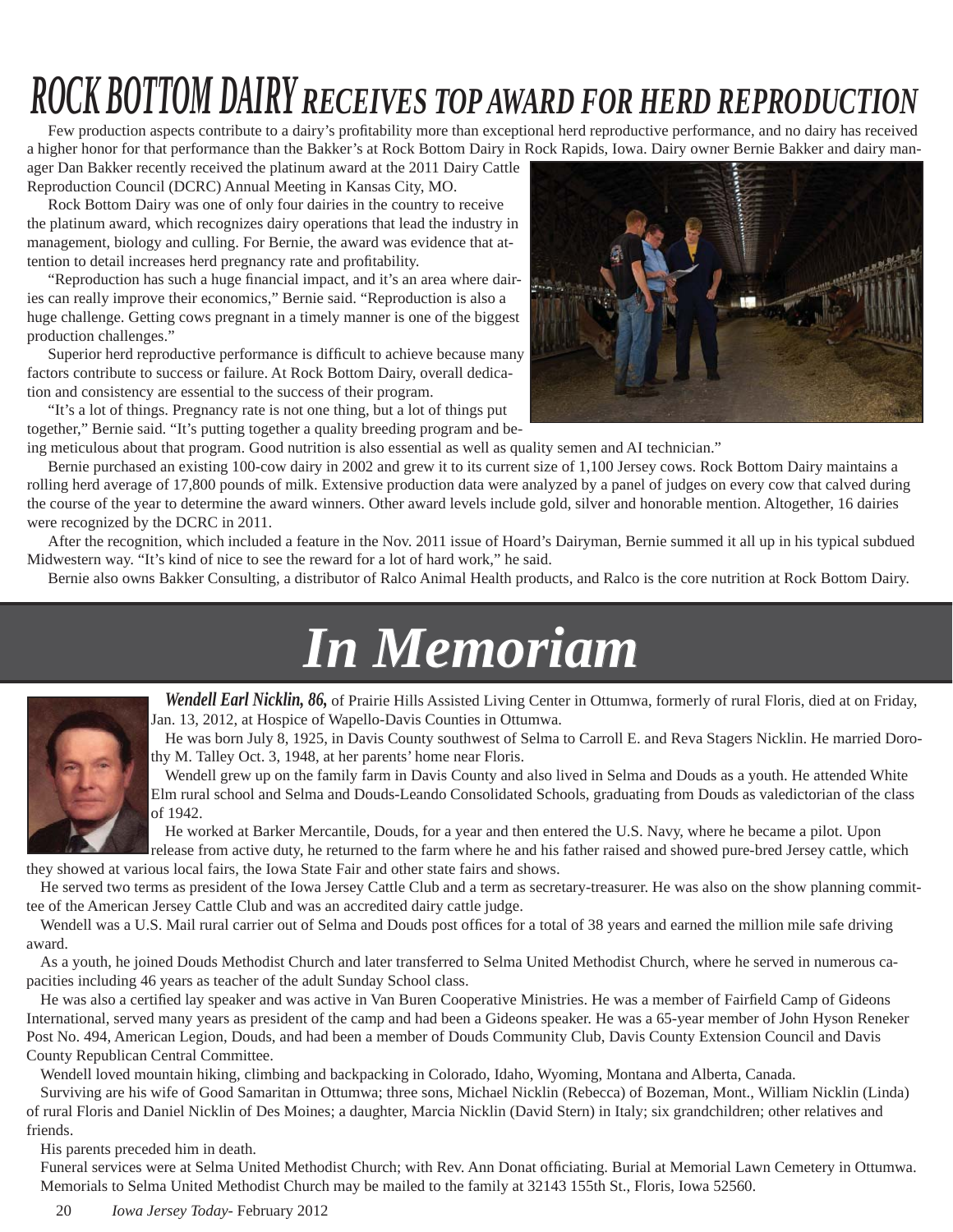## *ROCK BOTTOM DAIRY RECEIVES TOP AWARD FOR HERD REPRODUCTION*

Few production aspects contribute to a dairy's profitability more than exceptional herd reproductive performance, and no dairy has received a higher honor for that performance than the Bakker's at Rock Bottom Dairy in Rock Rapids, Iowa. Dairy owner Bernie Bakker and dairy manager Dan Bakker recently received the platinum award at the 2011 Dairy Cattle

Reproduction Council (DCRC) Annual Meeting in Kansas City, MO.

Rock Bottom Dairy was one of only four dairies in the country to receive the platinum award, which recognizes dairy operations that lead the industry in management, biology and culling. For Bernie, the award was evidence that attention to detail increases herd pregnancy rate and profitability.

"Reproduction has such a huge financial impact, and it's an area where dairies can really improve their economics," Bernie said. "Reproduction is also a huge challenge. Getting cows pregnant in a timely manner is one of the biggest production challenges."

Superior herd reproductive performance is difficult to achieve because many factors contribute to success or failure. At Rock Bottom Dairy, overall dedication and consistency are essential to the success of their program.

"It's a lot of things. Pregnancy rate is not one thing, but a lot of things put together," Bernie said. "It's putting together a quality breeding program and be-



ing meticulous about that program. Good nutrition is also essential as well as quality semen and AI technician."

Bernie purchased an existing 100-cow dairy in 2002 and grew it to its current size of 1,100 Jersey cows. Rock Bottom Dairy maintains a rolling herd average of 17,800 pounds of milk. Extensive production data were analyzed by a panel of judges on every cow that calved during the course of the year to determine the award winners. Other award levels include gold, silver and honorable mention. Altogether, 16 dairies were recognized by the DCRC in 2011.

After the recognition, which included a feature in the Nov. 2011 issue of Hoard's Dairyman, Bernie summed it all up in his typical subdued Midwestern way. "It's kind of nice to see the reward for a lot of hard work," he said.

Bernie also owns Bakker Consulting, a distributor of Ralco Animal Health products, and Ralco is the core nutrition at Rock Bottom Dairy.





*Wendell Earl Nicklin, 86,* of Prairie Hills Assisted Living Center in Ottumwa, formerly of rural Floris, died at on Friday, Jan. 13, 2012, at Hospice of Wapello-Davis Counties in Ottumwa.

He was born July 8, 1925, in Davis County southwest of Selma to Carroll E. and Reva Stagers Nicklin. He married Dorothy M. Talley Oct. 3, 1948, at her parents' home near Floris.

Wendell grew up on the family farm in Davis County and also lived in Selma and Douds as a youth. He attended White Elm rural school and Selma and Douds-Leando Consolidated Schools, graduating from Douds as valedictorian of the class of 1942.

He worked at Barker Mercantile, Douds, for a year and then entered the U.S. Navy, where he became a pilot. Upon

release from active duty, he returned to the farm where he and his father raised and showed pure-bred Jersey cattle, which they showed at various local fairs, the Iowa State Fair and other state fairs and shows.

He served two terms as president of the Iowa Jersey Cattle Club and a term as secretary-treasurer. He was also on the show planning committee of the American Jersey Cattle Club and was an accredited dairy cattle judge.

Wendell was a U.S. Mail rural carrier out of Selma and Douds post offices for a total of 38 years and earned the million mile safe driving award.

As a youth, he joined Douds Methodist Church and later transferred to Selma United Methodist Church, where he served in numerous capacities including 46 years as teacher of the adult Sunday School class.

He was also a certified lay speaker and was active in Van Buren Cooperative Ministries. He was a member of Fairfield Camp of Gideons International, served many years as president of the camp and had been a Gideons speaker. He was a 65-year member of John Hyson Reneker Post No. 494, American Legion, Douds, and had been a member of Douds Community Club, Davis County Extension Council and Davis County Republican Central Committee.

Wendell loved mountain hiking, climbing and backpacking in Colorado, Idaho, Wyoming, Montana and Alberta, Canada.

Surviving are his wife of Good Samaritan in Ottumwa; three sons, Michael Nicklin (Rebecca) of Bozeman, Mont., William Nicklin (Linda) of rural Floris and Daniel Nicklin of Des Moines; a daughter, Marcia Nicklin (David Stern) in Italy; six grandchildren; other relatives and friends.

His parents preceded him in death.

Funeral services were at Selma United Methodist Church; with Rev. Ann Donat officiating. Burial at Memorial Lawn Cemetery in Ottumwa. Memorials to Selma United Methodist Church may be mailed to the family at 32143 155th St., Floris, Iowa 52560.